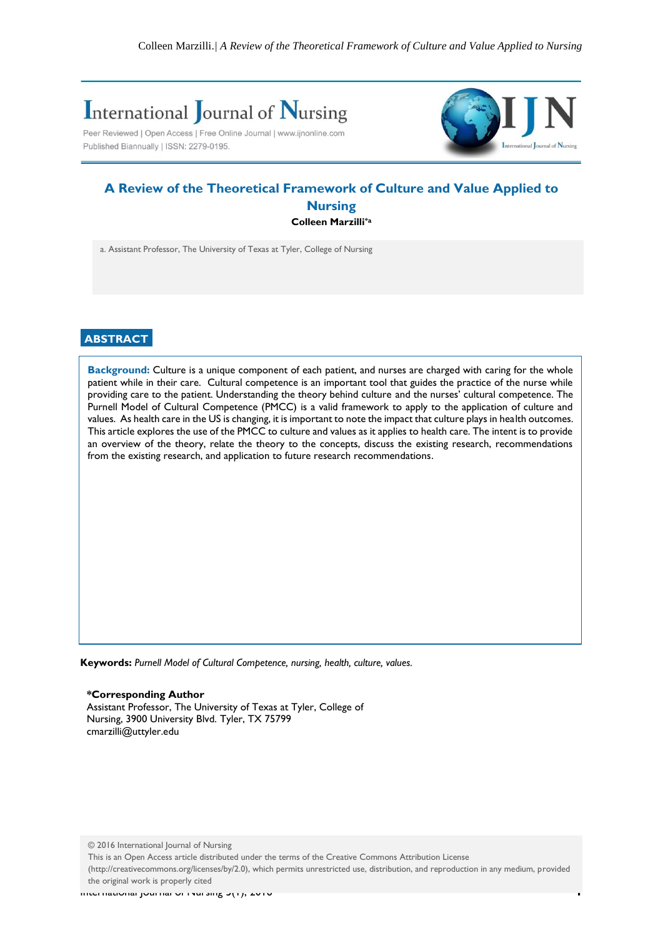# **International Journal of Nursing**

Peer Reviewed | Open Access | Free Online Journal | www.ijnonline.com Published Biannually | ISSN: 2279-0195.



# **A Review of the Theoretical Framework of Culture and Value Applied to Nursing Colleen Marzilli\*a**

a. Assistant Professor, The University of Texas at Tyler, College of Nursing

## **ABSTRACT**

**Background:** Culture is a unique component of each patient, and nurses are charged with caring for the whole patient while in their care. Cultural competence is an important tool that guides the practice of the nurse while providing care to the patient. Understanding the theory behind culture and the nurses' cultural competence. The Purnell Model of Cultural Competence (PMCC) is a valid framework to apply to the application of culture and values. As health care in the US is changing, it is important to note the impact that culture plays in health outcomes. This article explores the use of the PMCC to culture and values as it applies to health care. The intent is to provide an overview of the theory, relate the theory to the concepts, discuss the existing research, recommendations from the existing research, and application to future research recommendations.

**Keywords:** *Purnell Model of Cultural Competence, nursing, health, culture, values.*

**\*Corresponding Author** Assistant Professor, The University of Texas at Tyler, College of Nursing, 3900 University Blvd. Tyler, TX 75799 cmarzilli@uttyler.edu

© 2016 International Journal of Nursing

**Introduction:** (http://creativecommons.org/licenses/by/2.0), which permits unrestricted use, distribution, and reproduction in any medium, provided This is an Open Access article distributed under the terms of the Creative Commons Attribution License the original work is properly cited

International Journal of Nursing 5(1), 2016 **1**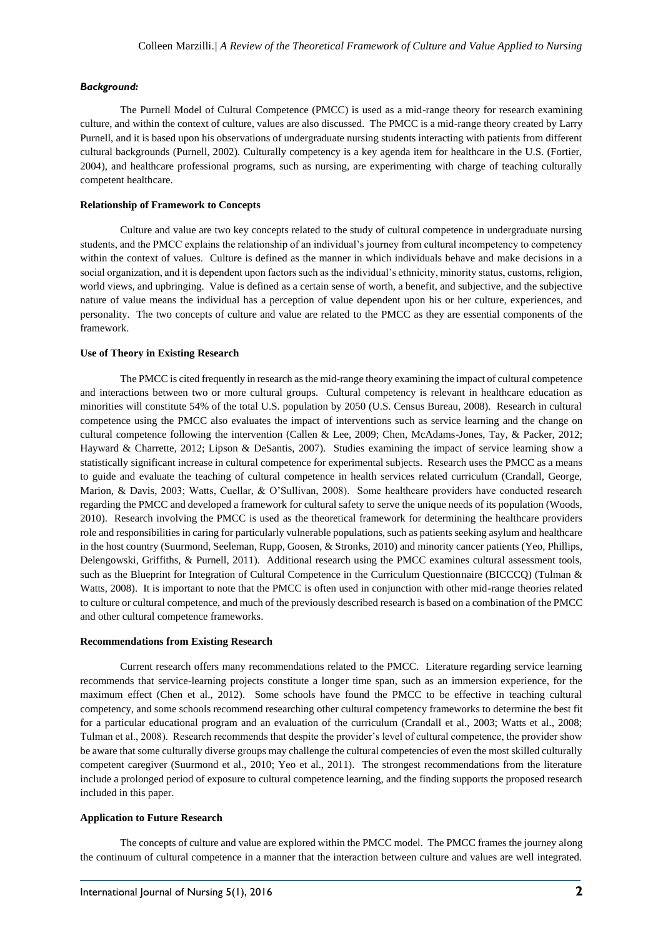#### *Background:*

The Purnell Model of Cultural Competence (PMCC) is used as a mid-range theory for research examining culture, and within the context of culture, values are also discussed. The PMCC is a mid-range theory created by Larry Purnell, and it is based upon his observations of undergraduate nursing students interacting with patients from different cultural backgrounds (Purnell, 2002). Culturally competency is a key agenda item for healthcare in the U.S. (Fortier, 2004), and healthcare professional programs, such as nursing, are experimenting with charge of teaching culturally competent healthcare.

#### **Relationship of Framework to Concepts**

Culture and value are two key concepts related to the study of cultural competence in undergraduate nursing students, and the PMCC explains the relationship of an individual's journey from cultural incompetency to competency within the context of values. Culture is defined as the manner in which individuals behave and make decisions in a social organization, and it is dependent upon factors such as the individual's ethnicity, minority status, customs, religion, world views, and upbringing. Value is defined as a certain sense of worth, a benefit, and subjective, and the subjective nature of value means the individual has a perception of value dependent upon his or her culture, experiences, and personality. The two concepts of culture and value are related to the PMCC as they are essential components of the framework.

#### **Use of Theory in Existing Research**

The PMCC is cited frequently in research as the mid-range theory examining the impact of cultural competence and interactions between two or more cultural groups. Cultural competency is relevant in healthcare education as minorities will constitute 54% of the total U.S. population by 2050 (U.S. Census Bureau, 2008). Research in cultural competence using the PMCC also evaluates the impact of interventions such as service learning and the change on cultural competence following the intervention (Callen & Lee, 2009; Chen, McAdams-Jones, Tay, & Packer, 2012; Hayward & Charrette, 2012; Lipson & DeSantis, 2007). Studies examining the impact of service learning show a statistically significant increase in cultural competence for experimental subjects. Research uses the PMCC as a means to guide and evaluate the teaching of cultural competence in health services related curriculum (Crandall, George, Marion, & Davis, 2003; Watts, Cuellar, & O'Sullivan, 2008). Some healthcare providers have conducted research regarding the PMCC and developed a framework for cultural safety to serve the unique needs of its population (Woods, 2010). Research involving the PMCC is used as the theoretical framework for determining the healthcare providers role and responsibilities in caring for particularly vulnerable populations, such as patients seeking asylum and healthcare in the host country (Suurmond, Seeleman, Rupp, Goosen, & Stronks, 2010) and minority cancer patients (Yeo, Phillips, Delengowski, Griffiths, & Purnell, 2011). Additional research using the PMCC examines cultural assessment tools, such as the Blueprint for Integration of Cultural Competence in the Curriculum Questionnaire (BICCCQ) (Tulman & Watts, 2008). It is important to note that the PMCC is often used in conjunction with other mid-range theories related to culture or cultural competence, and much of the previously described research is based on a combination of the PMCC and other cultural competence frameworks.

#### **Recommendations from Existing Research**

Current research offers many recommendations related to the PMCC. Literature regarding service learning recommends that service-learning projects constitute a longer time span, such as an immersion experience, for the maximum effect (Chen et al., 2012). Some schools have found the PMCC to be effective in teaching cultural competency, and some schools recommend researching other cultural competency frameworks to determine the best fit for a particular educational program and an evaluation of the curriculum (Crandall et al., 2003; Watts et al., 2008; Tulman et al., 2008). Research recommends that despite the provider's level of cultural competence, the provider show be aware that some culturally diverse groups may challenge the cultural competencies of even the most skilled culturally competent caregiver (Suurmond et al., 2010; Yeo et al., 2011). The strongest recommendations from the literature include a prolonged period of exposure to cultural competence learning, and the finding supports the proposed research included in this paper.

#### **Application to Future Research**

The concepts of culture and value are explored within the PMCC model. The PMCC frames the journey along the continuum of cultural competence in a manner that the interaction between culture and values are well integrated.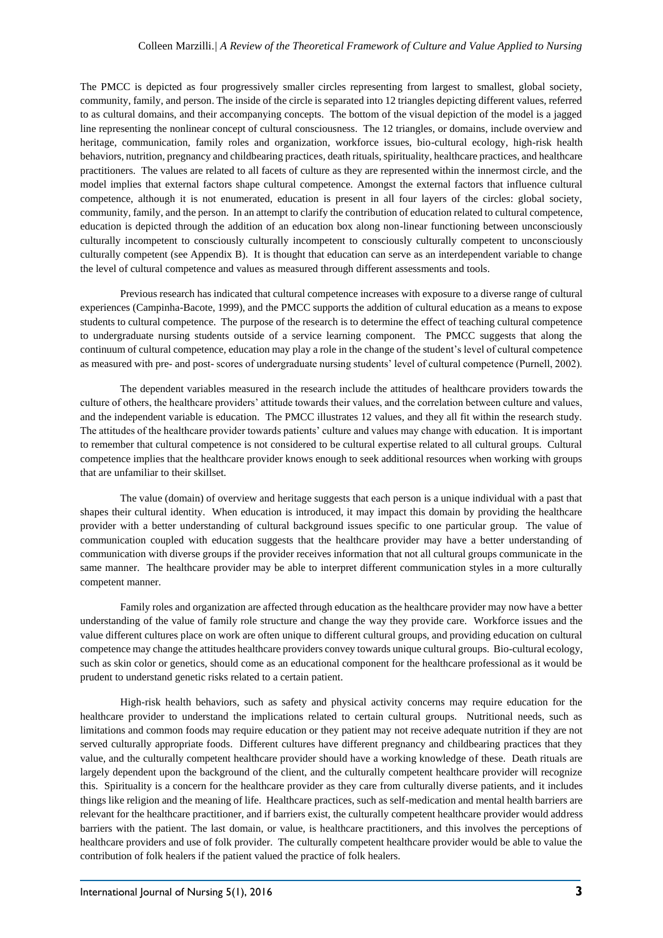The PMCC is depicted as four progressively smaller circles representing from largest to smallest, global society, community, family, and person. The inside of the circle is separated into 12 triangles depicting different values, referred to as cultural domains, and their accompanying concepts. The bottom of the visual depiction of the model is a jagged line representing the nonlinear concept of cultural consciousness. The 12 triangles, or domains, include overview and heritage, communication, family roles and organization, workforce issues, bio-cultural ecology, high-risk health behaviors, nutrition, pregnancy and childbearing practices, death rituals, spirituality, healthcare practices, and healthcare practitioners. The values are related to all facets of culture as they are represented within the innermost circle, and the model implies that external factors shape cultural competence. Amongst the external factors that influence cultural competence, although it is not enumerated, education is present in all four layers of the circles: global society, community, family, and the person. In an attempt to clarify the contribution of education related to cultural competence, education is depicted through the addition of an education box along non-linear functioning between unconsciously culturally incompetent to consciously culturally incompetent to consciously culturally competent to unconsciously culturally competent (see Appendix B). It is thought that education can serve as an interdependent variable to change the level of cultural competence and values as measured through different assessments and tools.

Previous research has indicated that cultural competence increases with exposure to a diverse range of cultural experiences (Campinha-Bacote, 1999), and the PMCC supports the addition of cultural education as a means to expose students to cultural competence. The purpose of the research is to determine the effect of teaching cultural competence to undergraduate nursing students outside of a service learning component. The PMCC suggests that along the continuum of cultural competence, education may play a role in the change of the student's level of cultural competence as measured with pre- and post- scores of undergraduate nursing students' level of cultural competence (Purnell, 2002).

The dependent variables measured in the research include the attitudes of healthcare providers towards the culture of others, the healthcare providers' attitude towards their values, and the correlation between culture and values, and the independent variable is education. The PMCC illustrates 12 values, and they all fit within the research study. The attitudes of the healthcare provider towards patients' culture and values may change with education. It is important to remember that cultural competence is not considered to be cultural expertise related to all cultural groups. Cultural competence implies that the healthcare provider knows enough to seek additional resources when working with groups that are unfamiliar to their skillset.

The value (domain) of overview and heritage suggests that each person is a unique individual with a past that shapes their cultural identity. When education is introduced, it may impact this domain by providing the healthcare provider with a better understanding of cultural background issues specific to one particular group. The value of communication coupled with education suggests that the healthcare provider may have a better understanding of communication with diverse groups if the provider receives information that not all cultural groups communicate in the same manner. The healthcare provider may be able to interpret different communication styles in a more culturally competent manner.

Family roles and organization are affected through education as the healthcare provider may now have a better understanding of the value of family role structure and change the way they provide care. Workforce issues and the value different cultures place on work are often unique to different cultural groups, and providing education on cultural competence may change the attitudes healthcare providers convey towards unique cultural groups. Bio-cultural ecology, such as skin color or genetics, should come as an educational component for the healthcare professional as it would be prudent to understand genetic risks related to a certain patient.

High-risk health behaviors, such as safety and physical activity concerns may require education for the healthcare provider to understand the implications related to certain cultural groups. Nutritional needs, such as limitations and common foods may require education or they patient may not receive adequate nutrition if they are not served culturally appropriate foods. Different cultures have different pregnancy and childbearing practices that they value, and the culturally competent healthcare provider should have a working knowledge of these. Death rituals are largely dependent upon the background of the client, and the culturally competent healthcare provider will recognize this. Spirituality is a concern for the healthcare provider as they care from culturally diverse patients, and it includes things like religion and the meaning of life. Healthcare practices, such as self-medication and mental health barriers are relevant for the healthcare practitioner, and if barriers exist, the culturally competent healthcare provider would address barriers with the patient. The last domain, or value, is healthcare practitioners, and this involves the perceptions of healthcare providers and use of folk provider. The culturally competent healthcare provider would be able to value the contribution of folk healers if the patient valued the practice of folk healers.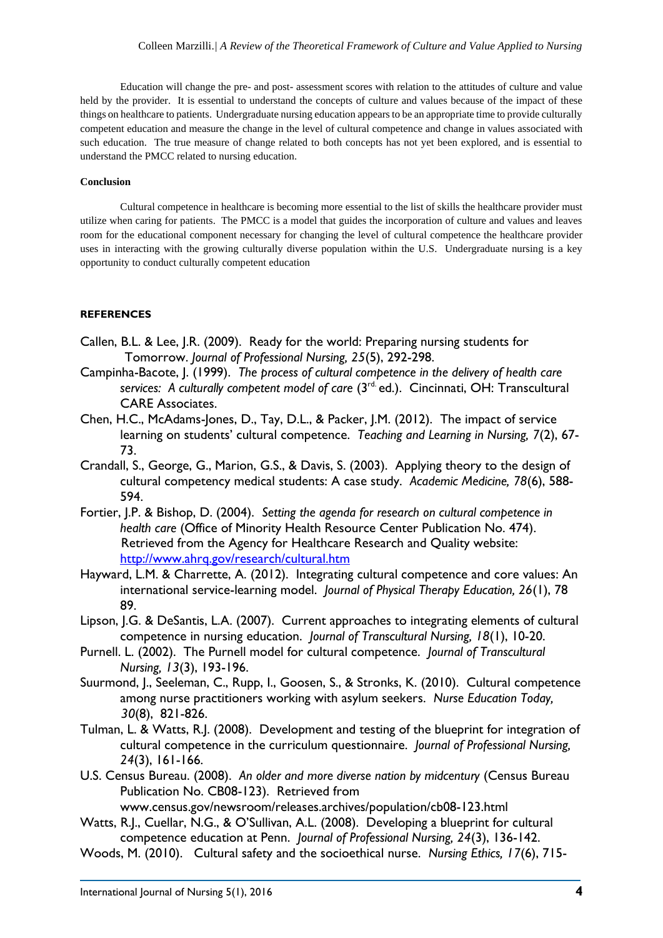Education will change the pre- and post- assessment scores with relation to the attitudes of culture and value held by the provider. It is essential to understand the concepts of culture and values because of the impact of these things on healthcare to patients. Undergraduate nursing education appears to be an appropriate time to provide culturally competent education and measure the change in the level of cultural competence and change in values associated with such education. The true measure of change related to both concepts has not yet been explored, and is essential to understand the PMCC related to nursing education.

### **Conclusion**

Cultural competence in healthcare is becoming more essential to the list of skills the healthcare provider must utilize when caring for patients. The PMCC is a model that guides the incorporation of culture and values and leaves room for the educational component necessary for changing the level of cultural competence the healthcare provider uses in interacting with the growing culturally diverse population within the U.S. Undergraduate nursing is a key opportunity to conduct culturally competent education

## **REFERENCES**

- Callen, B.L. & Lee, J.R. (2009). Ready for the world: Preparing nursing students for Tomorrow. *Journal of Professional Nursing, 25*(5), 292-298.
- Campinha-Bacote, J. (1999). *The process of cultural competence in the delivery of health care* services: A culturally competent model of care (3<sup>rd.</sup> ed.). Cincinnati, OH: Transcultural CARE Associates.
- Chen, H.C., McAdams-Jones, D., Tay, D.L., & Packer, J.M. (2012). The impact of service learning on students' cultural competence. *Teaching and Learning in Nursing, 7*(2), 67- 73.
- Crandall, S., George, G., Marion, G.S., & Davis, S. (2003). Applying theory to the design of cultural competency medical students: A case study. *Academic Medicine, 78*(6), 588- 594.
- Fortier, J.P. & Bishop, D. (2004). *Setting the agenda for research on cultural competence in health care* (Office of Minority Health Resource Center Publication No. 474). Retrieved from the Agency for Healthcare Research and Quality website: <http://www.ahrq.gov/research/cultural.htm>
- Hayward, L.M. & Charrette, A. (2012). Integrating cultural competence and core values: An international service-learning model. *Journal of Physical Therapy Education, 26*(1), 78 89.
- Lipson, J.G. & DeSantis, L.A. (2007). Current approaches to integrating elements of cultural competence in nursing education. *Journal of Transcultural Nursing, 18*(1), 10-20.
- Purnell. L. (2002). The Purnell model for cultural competence. *Journal of Transcultural Nursing, 13*(3), 193-196.
- Suurmond, J., Seeleman, C., Rupp, I., Goosen, S., & Stronks, K. (2010). Cultural competence among nurse practitioners working with asylum seekers. *Nurse Education Today, 30*(8), 821-826.
- Tulman, L. & Watts, R.J. (2008). Development and testing of the blueprint for integration of cultural competence in the curriculum questionnaire. *Journal of Professional Nursing, 24*(3), 161-166.
- U.S. Census Bureau. (2008). *An older and more diverse nation by midcentury* (Census Bureau Publication No. CB08-123). Retrieved from

www.census.gov/newsroom/releases.archives/population/cb08-123.html

- Watts, R.J., Cuellar, N.G., & O'Sullivan, A.L. (2008). Developing a blueprint for cultural competence education at Penn. *Journal of Professional Nursing, 24*(3), 136-142.
- Woods, M. (2010). Cultural safety and the socioethical nurse. *Nursing Ethics, 17*(6), 715-